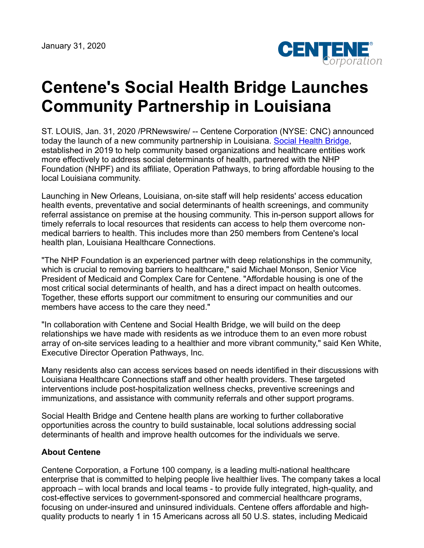

## **Centene's Social Health Bridge Launches Community Partnership in Louisiana**

ST. LOUIS, Jan. 31, 2020 /PRNewswire/ -- Centene Corporation (NYSE: CNC) announced today the launch of a new community partnership in Louisiana. [Social Health Bridge](https://www.socialhealthbridge.com/), established in 2019 to help community based organizations and healthcare entities work more effectively to address social determinants of health, partnered with the NHP Foundation (NHPF) and its affiliate, Operation Pathways, to bring affordable housing to the local Louisiana community.

Launching in New Orleans, Louisiana, on-site staff will help residents' access education health events, preventative and social determinants of health screenings, and community referral assistance on premise at the housing community. This in-person support allows for timely referrals to local resources that residents can access to help them overcome nonmedical barriers to health. This includes more than 250 members from Centene's local health plan, Louisiana Healthcare Connections.

"The NHP Foundation is an experienced partner with deep relationships in the community, which is crucial to removing barriers to healthcare," said Michael Monson, Senior Vice President of Medicaid and Complex Care for Centene. "Affordable housing is one of the most critical social determinants of health, and has a direct impact on health outcomes. Together, these efforts support our commitment to ensuring our communities and our members have access to the care they need."

"In collaboration with Centene and Social Health Bridge, we will build on the deep relationships we have made with residents as we introduce them to an even more robust array of on-site services leading to a healthier and more vibrant community," said Ken White, Executive Director Operation Pathways, Inc.

Many residents also can access services based on needs identified in their discussions with Louisiana Healthcare Connections staff and other health providers. These targeted interventions include post-hospitalization wellness checks, preventive screenings and immunizations, and assistance with community referrals and other support programs.

Social Health Bridge and Centene health plans are working to further collaborative opportunities across the country to build sustainable, local solutions addressing social determinants of health and improve health outcomes for the individuals we serve.

## **About Centene**

Centene Corporation, a Fortune 100 company, is a leading multi-national healthcare enterprise that is committed to helping people live healthier lives. The company takes a local approach – with local brands and local teams - to provide fully integrated, high-quality, and cost-effective services to government-sponsored and commercial healthcare programs, focusing on under-insured and uninsured individuals. Centene offers affordable and highquality products to nearly 1 in 15 Americans across all 50 U.S. states, including Medicaid